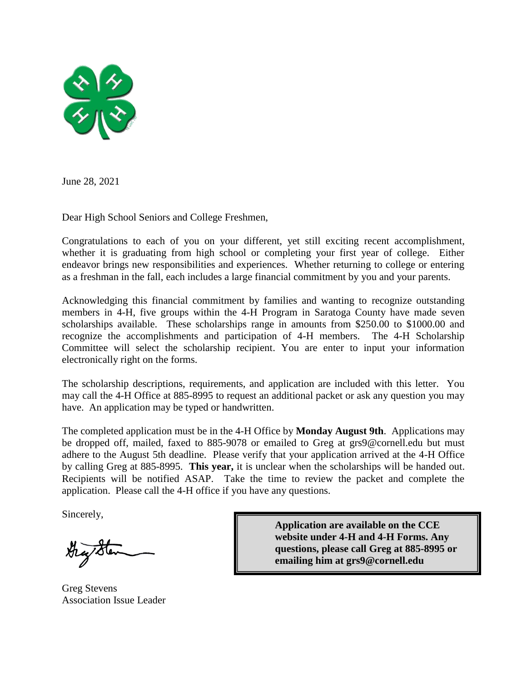

June 28, 2021

Dear High School Seniors and College Freshmen,

Congratulations to each of you on your different, yet still exciting recent accomplishment, whether it is graduating from high school or completing your first year of college. Either endeavor brings new responsibilities and experiences. Whether returning to college or entering as a freshman in the fall, each includes a large financial commitment by you and your parents.

Acknowledging this financial commitment by families and wanting to recognize outstanding members in 4-H, five groups within the 4-H Program in Saratoga County have made seven scholarships available. These scholarships range in amounts from \$250.00 to \$1000.00 and recognize the accomplishments and participation of 4-H members. The 4-H Scholarship Committee will select the scholarship recipient. You are enter to input your information electronically right on the forms.

The scholarship descriptions, requirements, and application are included with this letter. You may call the 4-H Office at 885-8995 to request an additional packet or ask any question you may have. An application may be typed or handwritten.

The completed application must be in the 4-H Office by **Monday August 9th**. Applications may be dropped off, mailed, faxed to 885-9078 or emailed to Greg at grs9@cornell.edu but must adhere to the August 5th deadline. Please verify that your application arrived at the 4-H Office by calling Greg at 885-8995. **This year,** it is unclear when the scholarships will be handed out. Recipients will be notified ASAP. Take the time to review the packet and complete the application. Please call the 4-H office if you have any questions.

Sincerely,

Greg Stevens Association Issue Leader

**Application are available on the CCE website under 4-H and 4-H Forms. Any questions, please call Greg at 885-8995 or emailing him at grs9@cornell.edu**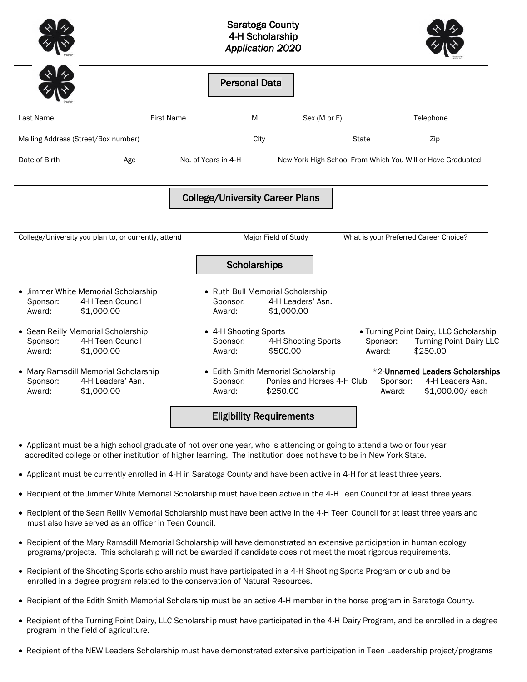|                    |                                                                                                             |                   | <b>Saratoga County</b><br>4-H Scholarship<br><b>Application 2020</b>            |                                                                              |                    |                                                                                    |
|--------------------|-------------------------------------------------------------------------------------------------------------|-------------------|---------------------------------------------------------------------------------|------------------------------------------------------------------------------|--------------------|------------------------------------------------------------------------------------|
|                    |                                                                                                             |                   | <b>Personal Data</b>                                                            |                                                                              |                    |                                                                                    |
| Last Name          |                                                                                                             | <b>First Name</b> | M <sub>l</sub>                                                                  | Sex (M or F)                                                                 |                    | Telephone                                                                          |
|                    | Mailing Address (Street/Box number)                                                                         |                   | City                                                                            |                                                                              | <b>State</b>       | Zip                                                                                |
| Date of Birth      | Age                                                                                                         |                   | No. of Years in 4-H                                                             |                                                                              |                    | New York High School From Which You Will or Have Graduated                         |
|                    | College/University you plan to, or currently, attend                                                        |                   | Scholarships                                                                    | Major Field of Study                                                         |                    | What is your Preferred Career Choice?                                              |
| Sponsor:<br>Award: | • Jimmer White Memorial Scholarship<br>4-H Teen Council<br>\$1,000.00<br>• Sean Reilly Memorial Scholarship |                   | • Ruth Bull Memorial Scholarship<br>Sponsor:<br>Award:<br>• 4-H Shooting Sports | 4-H Leaders' Asn.<br>\$1,000.00                                              |                    | • Turning Point Dairy, LLC Scholarship                                             |
| Sponsor:<br>Award: | 4-H Teen Council<br>\$1,000.00                                                                              |                   | Sponsor:<br>Award:                                                              | 4-H Shooting Sports<br>\$500.00                                              | Sponsor:<br>Award: | <b>Turning Point Dairy LLC</b><br>\$250.00                                         |
| Sponsor:<br>Award: | • Mary Ramsdill Memorial Scholarship<br>4-H Leaders' Asn.<br>\$1,000.00                                     |                   | Sponsor:<br>Award:                                                              | • Edith Smith Memorial Scholarship<br>Ponies and Horses 4-H Club<br>\$250.00 | Award:             | *2-Unnamed Leaders Scholarships<br>4-H Leaders Asn.<br>Sponsor:<br>\$1,000.00/each |
|                    |                                                                                                             |                   | <b>Eligibility Requirements</b>                                                 |                                                                              |                    |                                                                                    |

- Applicant must be a high school graduate of not over one year, who is attending or going to attend a two or four year accredited college or other institution of higher learning. The institution does not have to be in New York State.
- Applicant must be currently enrolled in 4-H in Saratoga County and have been active in 4-H for at least three years.
- Recipient of the Jimmer White Memorial Scholarship must have been active in the 4-H Teen Council for at least three years.
- Recipient of the Sean Reilly Memorial Scholarship must have been active in the 4-H Teen Council for at least three years and must also have served as an officer in Teen Council.
- Recipient of the Mary Ramsdill Memorial Scholarship will have demonstrated an extensive participation in human ecology programs/projects. This scholarship will not be awarded if candidate does not meet the most rigorous requirements.
- Recipient of the Shooting Sports scholarship must have participated in a 4-H Shooting Sports Program or club and be enrolled in a degree program related to the conservation of Natural Resources.
- Recipient of the Edith Smith Memorial Scholarship must be an active 4-H member in the horse program in Saratoga County.
- Recipient of the Turning Point Dairy, LLC Scholarship must have participated in the 4-H Dairy Program, and be enrolled in a degree program in the field of agriculture.
- Recipient of the NEW Leaders Scholarship must have demonstrated extensive participation in Teen Leadership project/programs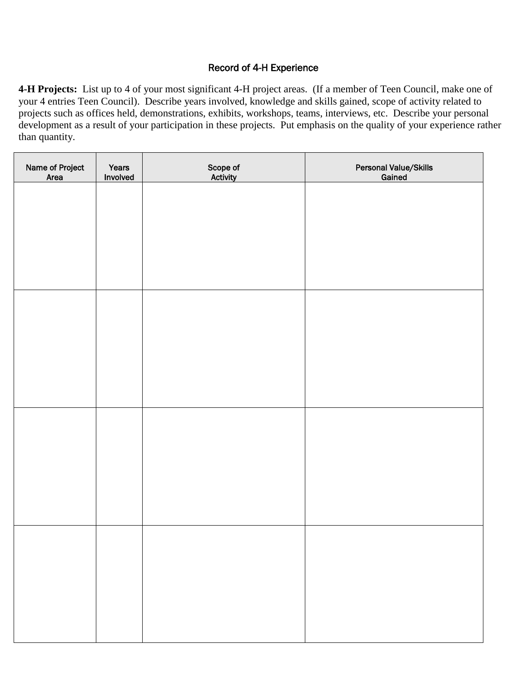## Record of 4-H Experience

**4-H Projects:** List up to 4 of your most significant 4-H project areas. (If a member of Teen Council, make one of your 4 entries Teen Council). Describe years involved, knowledge and skills gained, scope of activity related to projects such as offices held, demonstrations, exhibits, workshops, teams, interviews, etc. Describe your personal development as a result of your participation in these projects. Put emphasis on the quality of your experience rather than quantity.

| Name of Project<br>Area | Years<br>Involved | Scope of<br>Activity | Personal Value/Skills<br>Gained |
|-------------------------|-------------------|----------------------|---------------------------------|
|                         |                   |                      |                                 |
|                         |                   |                      |                                 |
|                         |                   |                      |                                 |
|                         |                   |                      |                                 |
|                         |                   |                      |                                 |
|                         |                   |                      |                                 |
|                         |                   |                      |                                 |
|                         |                   |                      |                                 |
|                         |                   |                      |                                 |
|                         |                   |                      |                                 |
|                         |                   |                      |                                 |
|                         |                   |                      |                                 |
|                         |                   |                      |                                 |
|                         |                   |                      |                                 |
|                         |                   |                      |                                 |
|                         |                   |                      |                                 |
|                         |                   |                      |                                 |
|                         |                   |                      |                                 |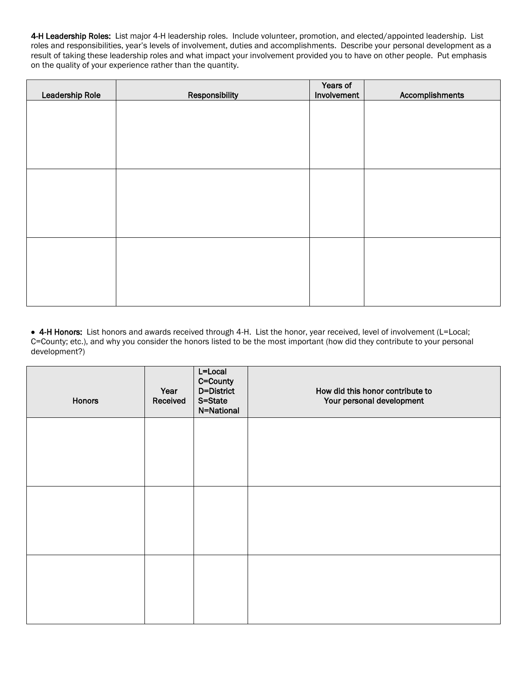4-H Leadership Roles: List major 4-H leadership roles. Include volunteer, promotion, and elected/appointed leadership. List roles and responsibilities, year's levels of involvement, duties and accomplishments. Describe your personal development as a result of taking these leadership roles and what impact your involvement provided you to have on other people. Put emphasis on the quality of your experience rather than the quantity.

| Leadership Role | Responsibility | Years of<br>Involvement | Accomplishments |
|-----------------|----------------|-------------------------|-----------------|
|                 |                |                         |                 |
|                 |                |                         |                 |
|                 |                |                         |                 |
|                 |                |                         |                 |
|                 |                |                         |                 |
|                 |                |                         |                 |
|                 |                |                         |                 |
|                 |                |                         |                 |
|                 |                |                         |                 |
|                 |                |                         |                 |
|                 |                |                         |                 |

• 4-H Honors: List honors and awards received through 4-H. List the honor, year received, level of involvement (L=Local; C=County; etc.), and why you consider the honors listed to be the most important (how did they contribute to your personal development?)

| Honors | Year<br>Received | L=Local<br>C=County<br>D=District<br>S=State<br>N=National | How did this honor contribute to<br>Your personal development |
|--------|------------------|------------------------------------------------------------|---------------------------------------------------------------|
|        |                  |                                                            |                                                               |
|        |                  |                                                            |                                                               |
|        |                  |                                                            |                                                               |
|        |                  |                                                            |                                                               |
|        |                  |                                                            |                                                               |